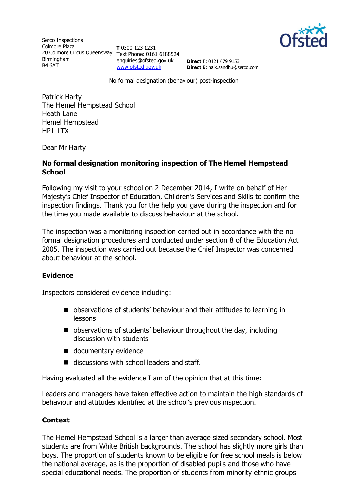

Serco Inspections Colmore Plaza 20 Colmore Circus Queensway Text Phone: 0161 6188524 Birmingham B4 6AT

**T** 0300 123 1231 enquiries@ofsted.gov.uk [www.ofsted.gov.uk](http://www.ofsted.gov.uk/)

**Direct T:** 0121 679 9153 **Direct E:** naik.sandhu@serco.com

No formal designation (behaviour) post-inspection

Patrick Harty The Hemel Hempstead School Heath Lane Hemel Hempstead HP1 1TX

Dear Mr Harty

### **No formal designation monitoring inspection of The Hemel Hempstead School**

Following my visit to your school on 2 December 2014, I write on behalf of Her Majesty's Chief Inspector of Education, Children's Services and Skills to confirm the inspection findings. Thank you for the help you gave during the inspection and for the time you made available to discuss behaviour at the school.

The inspection was a monitoring inspection carried out in accordance with the no formal designation procedures and conducted under section 8 of the Education Act 2005. The inspection was carried out because the Chief Inspector was concerned about behaviour at the school.

## **Evidence**

Inspectors considered evidence including:

- observations of students' behaviour and their attitudes to learning in lessons
- observations of students' behaviour throughout the day, including discussion with students
- documentary evidence
- discussions with school leaders and staff.

Having evaluated all the evidence I am of the opinion that at this time:

Leaders and managers have taken effective action to maintain the high standards of behaviour and attitudes identified at the school's previous inspection.

## **Context**

The Hemel Hempstead School is a larger than average sized secondary school. Most students are from White British backgrounds. The school has slightly more girls than boys. The proportion of students known to be eligible for free school meals is below the national average, as is the proportion of disabled pupils and those who have special educational needs. The proportion of students from minority ethnic groups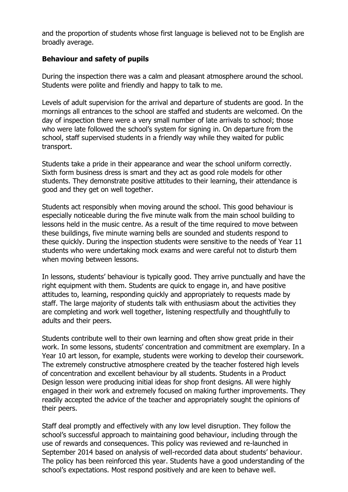and the proportion of students whose first language is believed not to be English are broadly average.

# **Behaviour and safety of pupils**

During the inspection there was a calm and pleasant atmosphere around the school. Students were polite and friendly and happy to talk to me.

Levels of adult supervision for the arrival and departure of students are good. In the mornings all entrances to the school are staffed and students are welcomed. On the day of inspection there were a very small number of late arrivals to school; those who were late followed the school's system for signing in. On departure from the school, staff supervised students in a friendly way while they waited for public transport.

Students take a pride in their appearance and wear the school uniform correctly. Sixth form business dress is smart and they act as good role models for other students. They demonstrate positive attitudes to their learning, their attendance is good and they get on well together.

Students act responsibly when moving around the school. This good behaviour is especially noticeable during the five minute walk from the main school building to lessons held in the music centre. As a result of the time required to move between these buildings, five minute warning bells are sounded and students respond to these quickly. During the inspection students were sensitive to the needs of Year 11 students who were undertaking mock exams and were careful not to disturb them when moving between lessons.

In lessons, students' behaviour is typically good. They arrive punctually and have the right equipment with them. Students are quick to engage in, and have positive attitudes to, learning, responding quickly and appropriately to requests made by staff. The large majority of students talk with enthusiasm about the activities they are completing and work well together, listening respectfully and thoughtfully to adults and their peers.

Students contribute well to their own learning and often show great pride in their work. In some lessons, students' concentration and commitment are exemplary. In a Year 10 art lesson, for example, students were working to develop their coursework. The extremely constructive atmosphere created by the teacher fostered high levels of concentration and excellent behaviour by all students. Students in a Product Design lesson were producing initial ideas for shop front designs. All were highly engaged in their work and extremely focused on making further improvements. They readily accepted the advice of the teacher and appropriately sought the opinions of their peers.

Staff deal promptly and effectively with any low level disruption. They follow the school's successful approach to maintaining good behaviour, including through the use of rewards and consequences. This policy was reviewed and re-launched in September 2014 based on analysis of well-recorded data about students' behaviour. The policy has been reinforced this year. Students have a good understanding of the school's expectations. Most respond positively and are keen to behave well.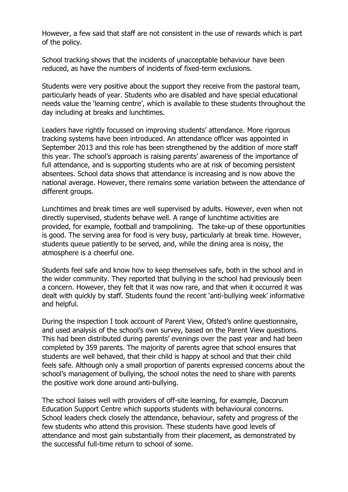However, a few said that staff are not consistent in the use of rewards which is part of the policy.

School tracking shows that the incidents of unacceptable behaviour have been reduced, as have the numbers of incidents of fixed-term exclusions.

Students were very positive about the support they receive from the pastoral team, particularly heads of year. Students who are disabled and have special educational needs value the 'learning centre', which is available to these students throughout the day including at breaks and lunchtimes.

Leaders have rightly focussed on improving students' attendance. More rigorous tracking systems have been introduced. An attendance officer was appointed in September 2013 and this role has been strengthened by the addition of more staff this year. The school's approach is raising parents' awareness of the importance of full attendance, and is supporting students who are at risk of becoming persistent absentees. School data shows that attendance is increasing and is now above the national average. However, there remains some variation between the attendance of different groups.

Lunchtimes and break times are well supervised by adults. However, even when not directly supervised, students behave well. A range of lunchtime activities are provided, for example, football and trampolining. The take-up of these opportunities is good. The serving area for food is very busy, particularly at break time. However, students queue patiently to be served, and, while the dining area is noisy, the atmosphere is a cheerful one.

Students feel safe and know how to keep themselves safe, both in the school and in the wider community. They reported that bullying in the school had previously been a concern. However, they felt that it was now rare, and that when it occurred it was dealt with quickly by staff. Students found the recent 'anti-bullying week' informative and helpful.

During the inspection I took account of Parent View, Ofsted's online questionnaire, and used analysis of the school's own survey, based on the Parent View questions. This had been distributed during parents' evenings over the past year and had been completed by 359 parents. The majority of parents agree that school ensures that students are well behaved, that their child is happy at school and that their child feels safe. Although only a small proportion of parents expressed concerns about the school's management of bullying, the school notes the need to share with parents the positive work done around anti-bullying.

The school liaises well with providers of off-site learning, for example, Dacorum Education Support Centre which supports students with behavioural concerns. School leaders check closely the attendance, behaviour, safety and progress of the few students who attend this provision. These students have good levels of attendance and most gain substantially from their placement, as demonstrated by the successful full-time return to school of some.